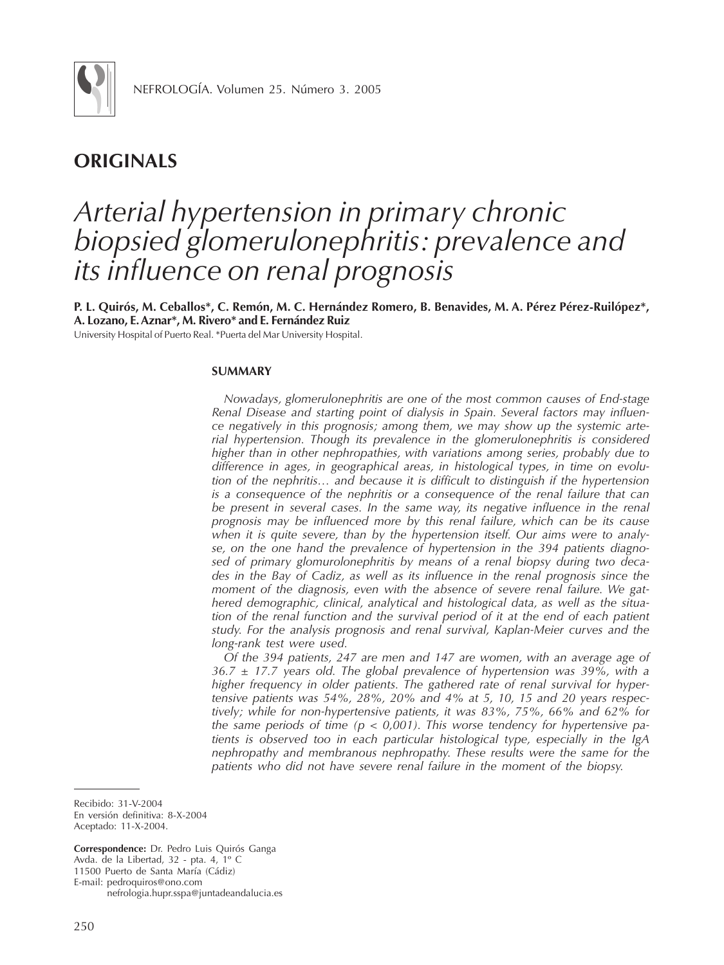

# **ORIGINALS**

# *Arterial hypertension in primary chronic biopsied glomerulonephritis: prevalence and its influence on renal prognosis*

**P. L. Quirós, M. Ceballos\*, C. Remón, M. C. Hernández Romero, B. Benavides, M. A. Pérez Pérez-Ruilópez\*, A. Lozano, E. Aznar\*, M. Rivero\* and E. Fernández Ruiz**

University Hospital of Puerto Real. \*Puerta del Mar University Hospital.

## **SUMMARY**

*Nowadays, glomerulonephritis are one of the most common causes of End-stage Renal Disease and starting point of dialysis in Spain. Several factors may influence negatively in this prognosis; among them, we may show up the systemic arterial hypertension. Though its prevalence in the glomerulonephritis is considered higher than in other nephropathies, with variations among series, probably due to difference in ages, in geographical areas, in histological types, in time on evolution of the nephritis… and because it is difficult to distinguish if the hypertension is a consequence of the nephritis or a consequence of the renal failure that can be present in several cases. In the same way, its negative influence in the renal prognosis may be influenced more by this renal failure, which can be its cause when it is quite severe, than by the hypertension itself. Our aims were to analyse, on the one hand the prevalence of hypertension in the 394 patients diagnosed of primary glomurolonephritis by means of a renal biopsy during two decades in the Bay of Cadiz, as well as its influence in the renal prognosis since the moment of the diagnosis, even with the absence of severe renal failure. We gathered demographic, clinical, analytical and histological data, as well as the situation of the renal function and the survival period of it at the end of each patient study. For the analysis prognosis and renal survival, Kaplan-Meier curves and the long-rank test were used.*

*Of the 394 patients, 247 are men and 147 are women, with an average age of 36.7 ± 17.7 years old. The global prevalence of hypertension was 39%, with a higher frequency in older patients. The gathered rate of renal survival for hypertensive patients was 54%, 28%, 20% and 4% at 5, 10, 15 and 20 years respectively; while for non-hypertensive patients, it was 83%, 75%, 66% and 62% for the same periods of time (p < 0,001). This worse tendency for hypertensive patients is observed too in each particular histological type, especially in the IgA nephropathy and membranous nephropathy. These results were the same for the patients who did not have severe renal failure in the moment of the biopsy.*

Recibido: 31-V-2004 En versión definitiva: 8-X-2004 Aceptado: 11-X-2004.

**Correspondence:** Dr. Pedro Luis Quirós Ganga Avda. de la Libertad, 32 - pta. 4, 1º C 11500 Puerto de Santa María (Cádiz) E-mail: pedroquiros@ono.com nefrologia.hupr.sspa@juntadeandalucia.es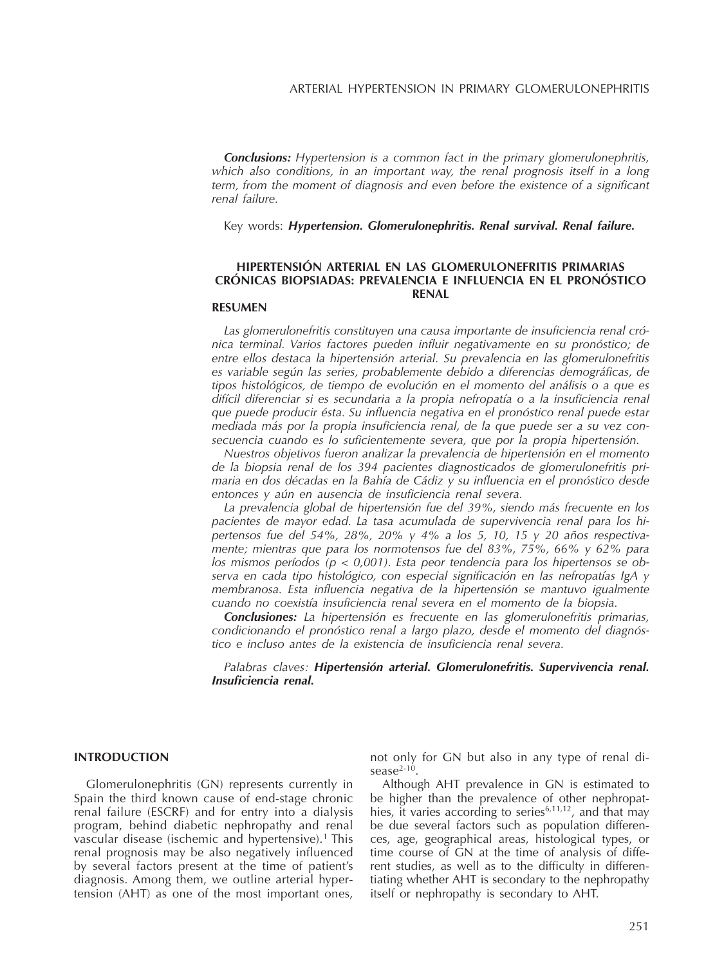*Conclusions: Hypertension is a common fact in the primary glomerulonephritis, which also conditions, in an important way, the renal prognosis itself in a long term, from the moment of diagnosis and even before the existence of a significant renal failure.*

Key words: *Hypertension. Glomerulonephritis. Renal survival. Renal failure.*

# **HIPERTENSIÓN ARTERIAL EN LAS GLOMERULONEFRITIS PRIMARIAS CRÓNICAS BIOPSIADAS: PREVALENCIA E INFLUENCIA EN EL PRONÓSTICO RENAL**

# **RESUMEN**

*Las glomerulonefritis constituyen una causa importante de insuficiencia renal crónica terminal. Varios factores pueden influir negativamente en su pronóstico; de entre ellos destaca la hipertensión arterial. Su prevalencia en las glomerulonefritis es variable según las series, probablemente debido a diferencias demográficas, de tipos histológicos, de tiempo de evolución en el momento del análisis o a que es difícil diferenciar si es secundaria a la propia nefropatía o a la insuficiencia renal que puede producir ésta. Su influencia negativa en el pronóstico renal puede estar mediada más por la propia insuficiencia renal, de la que puede ser a su vez consecuencia cuando es lo suficientemente severa, que por la propia hipertensión.*

*Nuestros objetivos fueron analizar la prevalencia de hipertensión en el momento de la biopsia renal de los 394 pacientes diagnosticados de glomerulonefritis primaria en dos décadas en la Bahía de Cádiz y su influencia en el pronóstico desde entonces y aún en ausencia de insuficiencia renal severa.*

*La prevalencia global de hipertensión fue del 39%, siendo más frecuente en los pacientes de mayor edad. La tasa acumulada de supervivencia renal para los hipertensos fue del 54%, 28%, 20% y 4% a los 5, 10, 15 y 20 años respectivamente; mientras que para los normotensos fue del 83%, 75%, 66% y 62% para los mismos períodos (p < 0,001). Esta peor tendencia para los hipertensos se observa en cada tipo histológico, con especial significación en las nefropatías IgA y membranosa. Esta influencia negativa de la hipertensión se mantuvo igualmente cuando no coexistía insuficiencia renal severa en el momento de la biopsia.*

*Conclusiones: La hipertensión es frecuente en las glomerulonefritis primarias, condicionando el pronóstico renal a largo plazo, desde el momento del diagnóstico e incluso antes de la existencia de insuficiencia renal severa.*

*Palabras claves: Hipertensión arterial. Glomerulonefritis. Supervivencia renal. Insuficiencia renal.*

#### **INTRODUCTION**

Glomerulonephritis (GN) represents currently in Spain the third known cause of end-stage chronic renal failure (ESCRF) and for entry into a dialysis program, behind diabetic nephropathy and renal vascular disease (ischemic and hypertensive).<sup>1</sup> This renal prognosis may be also negatively influenced by several factors present at the time of patient's diagnosis. Among them, we outline arterial hypertension (AHT) as one of the most important ones,

not only for GN but also in any type of renal di $sease<sup>2-10</sup>$ .

Although AHT prevalence in GN is estimated to be higher than the prevalence of other nephropathies, it varies according to series<sup> $6,11,12$ </sup>, and that may be due several factors such as population differences, age, geographical areas, histological types, or time course of GN at the time of analysis of different studies, as well as to the difficulty in differentiating whether AHT is secondary to the nephropathy itself or nephropathy is secondary to AHT.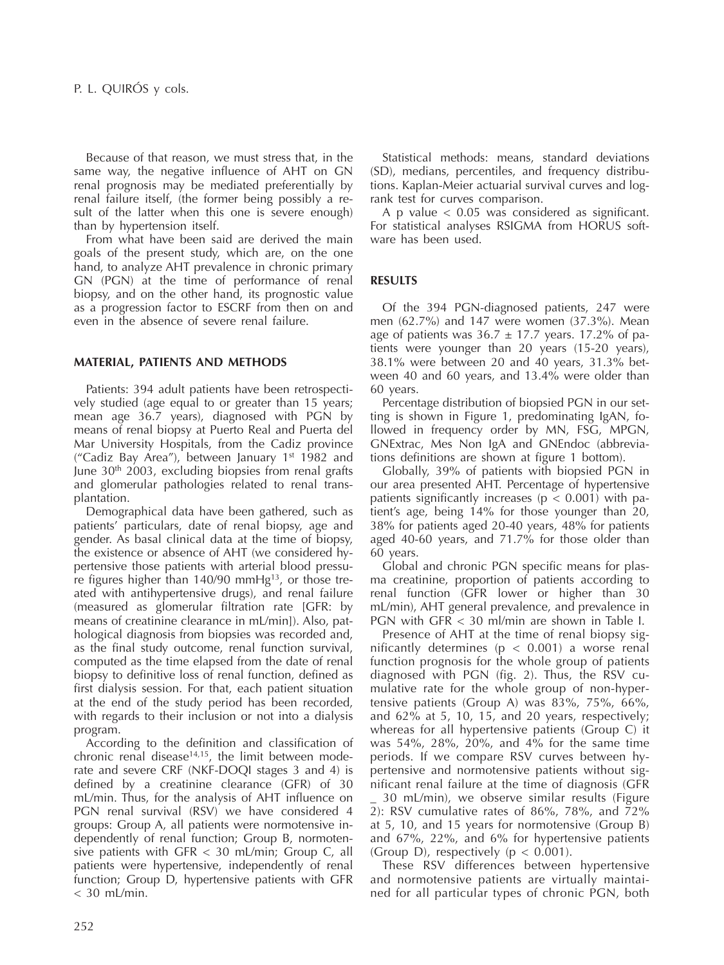Because of that reason, we must stress that, in the same way, the negative influence of AHT on GN renal prognosis may be mediated preferentially by renal failure itself, (the former being possibly a result of the latter when this one is severe enough) than by hypertension itself.

From what have been said are derived the main goals of the present study, which are, on the one hand, to analyze AHT prevalence in chronic primary GN (PGN) at the time of performance of renal biopsy, and on the other hand, its prognostic value as a progression factor to ESCRF from then on and even in the absence of severe renal failure.

# **MATERIAL, PATIENTS AND METHODS**

Patients: 394 adult patients have been retrospectively studied (age equal to or greater than 15 years; mean age 36.7 years), diagnosed with PGN by means of renal biopsy at Puerto Real and Puerta del Mar University Hospitals, from the Cadiz province ("Cadiz Bay Area"), between January  $1<sup>st</sup> 1982$  and June  $30<sup>th</sup>$  2003, excluding biopsies from renal grafts and glomerular pathologies related to renal transplantation.

Demographical data have been gathered, such as patients' particulars, date of renal biopsy, age and gender. As basal clinical data at the time of biopsy, the existence or absence of AHT (we considered hypertensive those patients with arterial blood pressure figures higher than  $140/90$  mmHg<sup>13</sup>, or those treated with antihypertensive drugs), and renal failure (measured as glomerular filtration rate [GFR: by means of creatinine clearance in mL/min]). Also, pathological diagnosis from biopsies was recorded and, as the final study outcome, renal function survival, computed as the time elapsed from the date of renal biopsy to definitive loss of renal function, defined as first dialysis session. For that, each patient situation at the end of the study period has been recorded, with regards to their inclusion or not into a dialysis program.

According to the definition and classification of chronic renal disease<sup>14,15</sup>, the limit between moderate and severe CRF (NKF-DOQI stages 3 and 4) is defined by a creatinine clearance (GFR) of 30 mL/min. Thus, for the analysis of AHT influence on PGN renal survival (RSV) we have considered 4 groups: Group A, all patients were normotensive independently of renal function; Group B, normotensive patients with GFR < 30 mL/min; Group C, all patients were hypertensive, independently of renal function; Group D, hypertensive patients with GFR  $<$  30 mL/min.

Statistical methods: means, standard deviations (SD), medians, percentiles, and frequency distributions. Kaplan-Meier actuarial survival curves and logrank test for curves comparison.

A p value < 0.05 was considered as significant. For statistical analyses RSIGMA from HORUS software has been used.

# **RESULTS**

Of the 394 PGN-diagnosed patients, 247 were men (62.7%) and 147 were women (37.3%). Mean age of patients was  $36.7 \pm 17.7$  years. 17.2% of patients were younger than 20 years (15-20 years), 38.1% were between 20 and 40 years, 31.3% between 40 and 60 years, and 13.4% were older than 60 years.

Percentage distribution of biopsied PGN in our setting is shown in Figure 1, predominating IgAN, followed in frequency order by MN, FSG, MPGN, GNExtrac, Mes Non IgA and GNEndoc (abbreviations definitions are shown at figure 1 bottom).

Globally, 39% of patients with biopsied PGN in our area presented AHT. Percentage of hypertensive patients significantly increases ( $p < 0.001$ ) with patient's age, being 14% for those younger than 20, 38% for patients aged 20-40 years, 48% for patients aged 40-60 years, and 71.7% for those older than 60 years.

Global and chronic PGN specific means for plasma creatinine, proportion of patients according to renal function (GFR lower or higher than 30 mL/min), AHT general prevalence, and prevalence in PGN with GFR < 30 ml/min are shown in Table I.

Presence of AHT at the time of renal biopsy significantly determines ( $p < 0.001$ ) a worse renal function prognosis for the whole group of patients diagnosed with PGN (fig. 2). Thus, the RSV cumulative rate for the whole group of non-hypertensive patients (Group A) was 83%, 75%, 66%, and 62% at 5, 10, 15, and 20 years, respectively; whereas for all hypertensive patients (Group C) it was 54%, 28%, 20%, and 4% for the same time periods. If we compare RSV curves between hypertensive and normotensive patients without significant renal failure at the time of diagnosis (GFR

\_ 30 mL/min), we observe similar results (Figure 2): RSV cumulative rates of 86%, 78%, and 72% at 5, 10, and 15 years for normotensive (Group B) and 67%, 22%, and 6% for hypertensive patients (Group D), respectively ( $p < 0.001$ ).

These RSV differences between hypertensive and normotensive patients are virtually maintained for all particular types of chronic PGN, both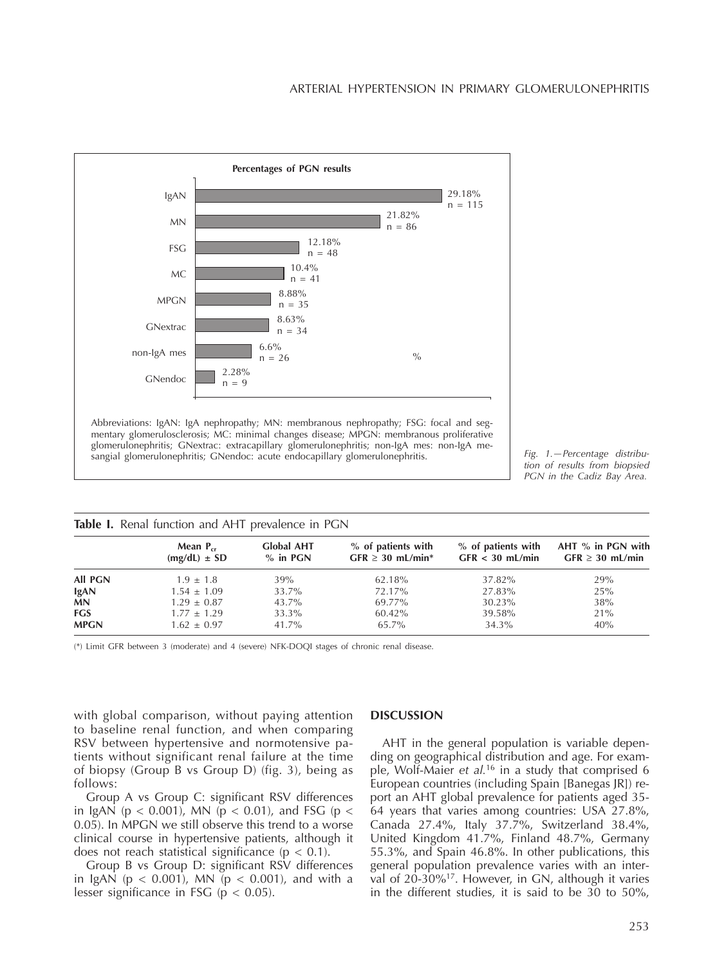

*Fig. 1.—Percentage distribution of results from biopsied PGN in the Cadiz Bay Area.*

| Table I. Renal function and AHT prevalence in PGN |                                   |                                 |                                             |                                         |                                           |
|---------------------------------------------------|-----------------------------------|---------------------------------|---------------------------------------------|-----------------------------------------|-------------------------------------------|
|                                                   | Mean $P_{cr}$<br>$(mg/dL) \pm SD$ | <b>Global AHT</b><br>$%$ in PGN | % of patients with<br>$GFR \geq 30$ mL/min* | % of patients with<br>$GFR < 30$ mL/min | AHT % in PGN with<br>$GFR \geq 30$ mL/min |
| <b>All PGN</b>                                    | $1.9 \pm 1.8$                     | 39%                             | 62.18%                                      | 37.82%                                  | 29%                                       |
| <b>IgAN</b>                                       | $1.54 \pm 1.09$                   | 33.7%                           | 72.17%                                      | 27.83%                                  | 25%                                       |
| <b>MN</b>                                         | $1.29 \pm 0.87$                   | 43.7%                           | 69.77%                                      | 30.23%                                  | 38%                                       |
| <b>FGS</b>                                        | $1.77 + 1.29$                     | 33.3%                           | 60.42%                                      | 39.58%                                  | 21%                                       |
| <b>MPGN</b>                                       | $1.62 \pm 0.97$                   | 41.7%                           | 65.7%                                       | 34.3%                                   | 40%                                       |

(\*) Limit GFR between 3 (moderate) and 4 (severe) NFK-DOQI stages of chronic renal disease.

with global comparison, without paying attention to baseline renal function, and when comparing RSV between hypertensive and normotensive patients without significant renal failure at the time of biopsy (Group B vs Group D) (fig. 3), being as follows:

Group A vs Group C: significant RSV differences in IgAN ( $p < 0.001$ ), MN ( $p < 0.01$ ), and FSG ( $p <$ 0.05). In MPGN we still observe this trend to a worse clinical course in hypertensive patients, although it does not reach statistical significance ( $p < 0.1$ ).

Group B vs Group D: significant RSV differences in IgAN ( $p < 0.001$ ), MN ( $p < 0.001$ ), and with a lesser significance in FSG ( $p < 0.05$ ).

#### **DISCUSSION**

AHT in the general population is variable depending on geographical distribution and age. For example, Wolf-Maier *et al.*<sup>16</sup> in a study that comprised 6 European countries (including Spain [Banegas JR]) report an AHT global prevalence for patients aged 35- 64 years that varies among countries: USA 27.8%, Canada 27.4%, Italy 37.7%, Switzerland 38.4%, United Kingdom 41.7%, Finland 48.7%, Germany 55.3%, and Spain 46.8%. In other publications, this general population prevalence varies with an interval of 20-30%<sup>17</sup>. However, in GN, although it varies in the different studies, it is said to be 30 to 50%,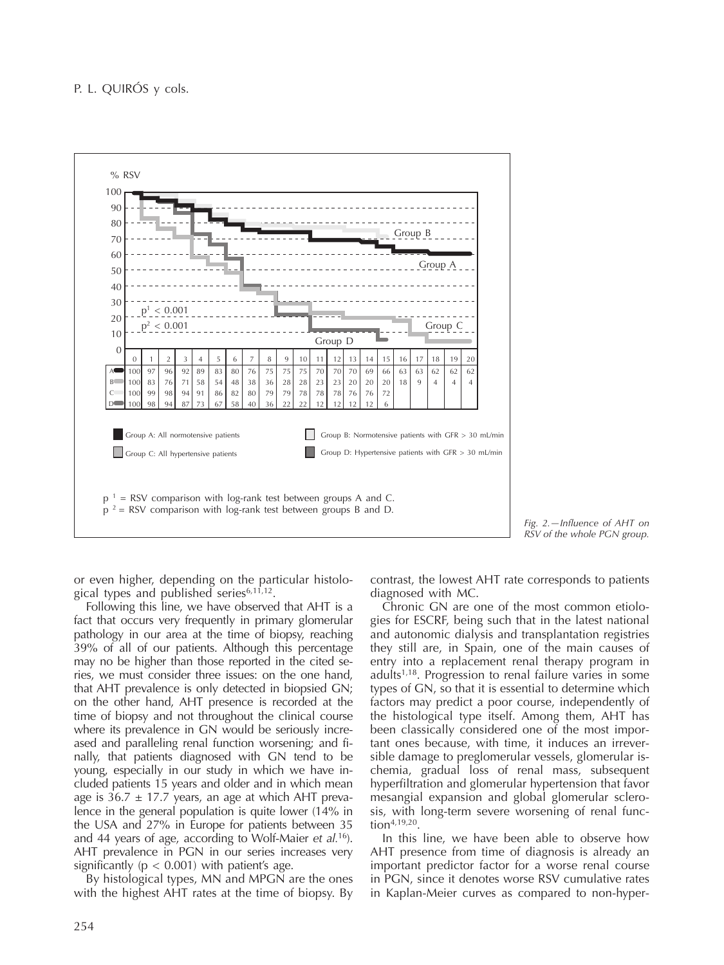

*Fig. 2.—Influence of AHT on RSV of the whole PGN group.*

or even higher, depending on the particular histological types and published series<sup>6,11,12</sup>.

Following this line, we have observed that AHT is a fact that occurs very frequently in primary glomerular pathology in our area at the time of biopsy, reaching 39% of all of our patients. Although this percentage may no be higher than those reported in the cited series, we must consider three issues: on the one hand, that AHT prevalence is only detected in biopsied GN; on the other hand, AHT presence is recorded at the time of biopsy and not throughout the clinical course where its prevalence in GN would be seriously increased and paralleling renal function worsening; and finally, that patients diagnosed with GN tend to be young, especially in our study in which we have included patients 15 years and older and in which mean age is  $36.7 \pm 17.7$  years, an age at which AHT prevalence in the general population is quite lower (14% in the USA and 27% in Europe for patients between 35 and 44 years of age, according to Wolf-Maier *et al.*<sup>16</sup>). AHT prevalence in PGN in our series increases very significantly ( $p < 0.001$ ) with patient's age.

By histological types, MN and MPGN are the ones with the highest AHT rates at the time of biopsy. By contrast, the lowest AHT rate corresponds to patients diagnosed with MC.

Chronic GN are one of the most common etiologies for ESCRF, being such that in the latest national and autonomic dialysis and transplantation registries they still are, in Spain, one of the main causes of entry into a replacement renal therapy program in adults $1,18$ . Progression to renal failure varies in some types of GN, so that it is essential to determine which factors may predict a poor course, independently of the histological type itself. Among them, AHT has been classically considered one of the most important ones because, with time, it induces an irreversible damage to preglomerular vessels, glomerular ischemia, gradual loss of renal mass, subsequent hyperfiltration and glomerular hypertension that favor mesangial expansion and global glomerular sclerosis, with long-term severe worsening of renal func- $\text{tion}^{4,19,20}.$ 

In this line, we have been able to observe how AHT presence from time of diagnosis is already an important predictor factor for a worse renal course in PGN, since it denotes worse RSV cumulative rates in Kaplan-Meier curves as compared to non-hyper-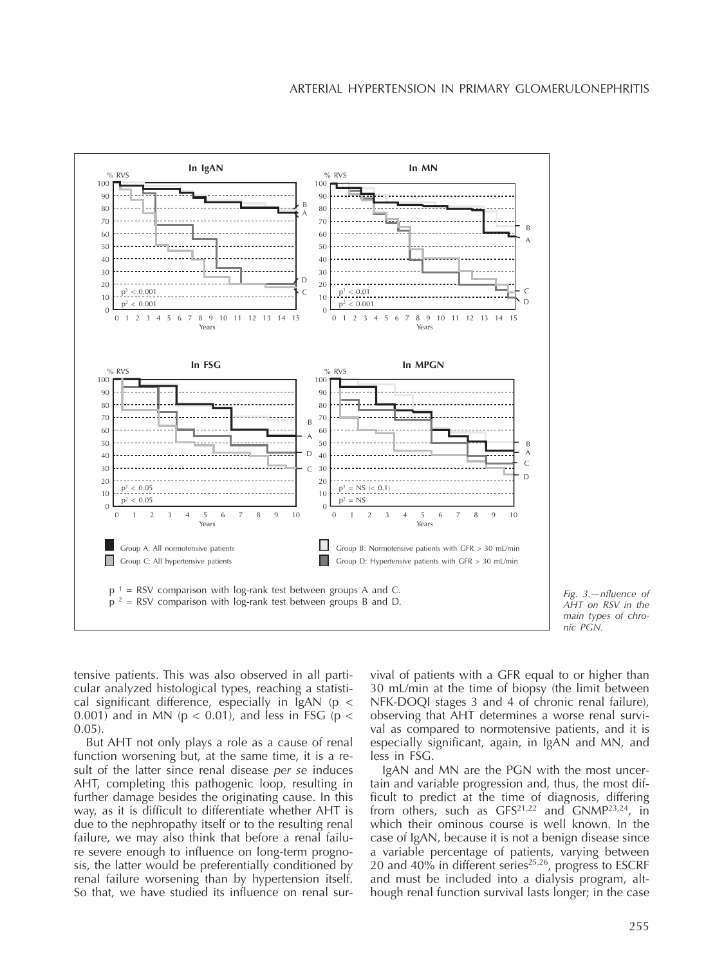



tensive patients. This was also observed in all particular analyzed histological types, reaching a statistical significant difference, especially in  $\lg A$ N (p < 0.001) and in MN ( $p < 0.01$ ), and less in FSG ( $p <$ 0.05).

But AHT not only plays a role as a cause of renal function worsening but, at the same time, it is a result of the latter since renal disease *per se* induces AHT, completing this pathogenic loop, resulting in further damage besides the originating cause. In this way, as it is difficult to differentiate whether AHT is due to the nephropathy itself or to the resulting renal failure, we may also think that before a renal failure severe enough to influence on long-term prognosis, the latter would be preferentially conditioned by renal failure worsening than by hypertension itself. So that, we have studied its influence on renal sur-

vival of patients with a GFR equal to or higher than 30 mL/min at the time of biopsy (the limit between NFK-DOQI stages 3 and 4 of chronic renal failure), observing that AHT determines a worse renal survival as compared to normotensive patients, and it is especially significant, again, in IgAN and MN, and less in FSG.

IgAN and MN are the PGN with the most uncertain and variable progression and, thus, the most difficult to predict at the time of diagnosis, differing from others, such as GFS<sup>21,22</sup> and GNMP<sup>23,24</sup>, in which their ominous course is well known. In the case of IgAN, because it is not a benign disease since a variable percentage of patients, varying between 20 and 40% in different series<sup>25,26</sup>, progress to ESCRF and must be included into a dialysis program, although renal function survival lasts longer; in the case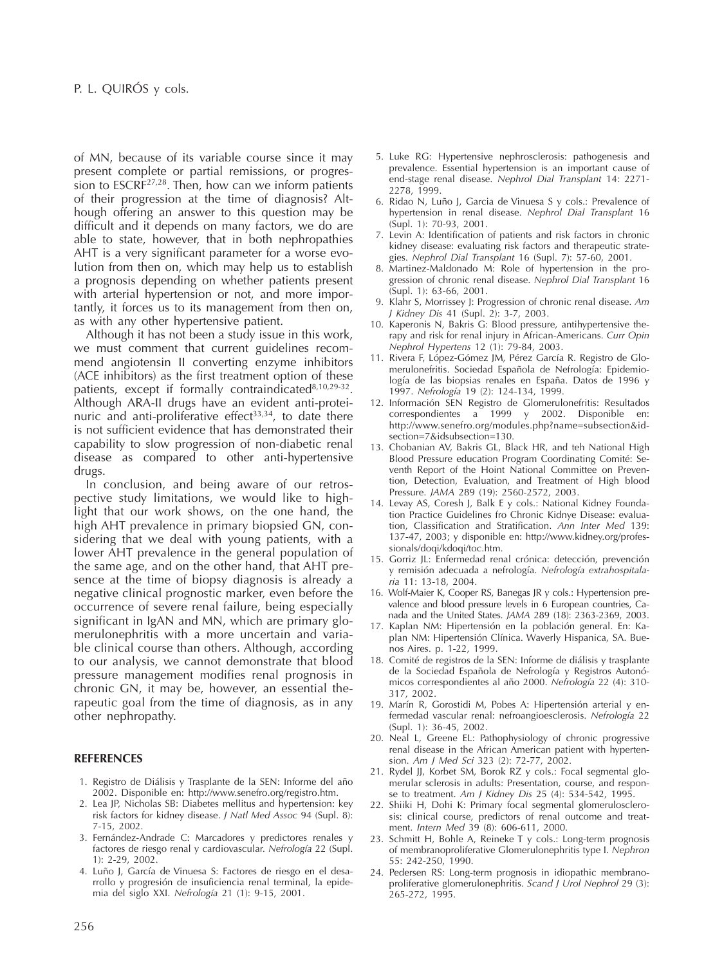of MN, because of its variable course since it may present complete or partial remissions, or progression to  $ESCRF<sup>27,28</sup>$ . Then, how can we inform patients of their progression at the time of diagnosis? Although offering an answer to this question may be difficult and it depends on many factors, we do are able to state, however, that in both nephropathies AHT is a very significant parameter for a worse evolution from then on, which may help us to establish a prognosis depending on whether patients present with arterial hypertension or not, and more importantly, it forces us to its management from then on, as with any other hypertensive patient.

Although it has not been a study issue in this work, we must comment that current guidelines recommend angiotensin II converting enzyme inhibitors (ACE inhibitors) as the first treatment option of these patients, except if formally contraindicated<sup>8,10,29-32</sup>. Although ARA-II drugs have an evident anti-proteinuric and anti-proliferative effect $33,34$ , to date there is not sufficient evidence that has demonstrated their capability to slow progression of non-diabetic renal disease as compared to other anti-hypertensive drugs.

In conclusion, and being aware of our retrospective study limitations, we would like to highlight that our work shows, on the one hand, the high AHT prevalence in primary biopsied GN, considering that we deal with young patients, with a lower AHT prevalence in the general population of the same age, and on the other hand, that AHT presence at the time of biopsy diagnosis is already a negative clinical prognostic marker, even before the occurrence of severe renal failure, being especially significant in IgAN and MN, which are primary glomerulonephritis with a more uncertain and variable clinical course than others. Although, according to our analysis, we cannot demonstrate that blood pressure management modifies renal prognosis in chronic GN, it may be, however, an essential therapeutic goal from the time of diagnosis, as in any other nephropathy.

#### **REFERENCES**

- 1. Registro de Diálisis y Trasplante de la SEN: Informe del año 2002. Disponible en: http://www.senefro.org/registro.htm.
- 2. Lea JP, Nicholas SB: Diabetes mellitus and hypertension: key risk factors for kidney disease. *J Natl Med Assoc* 94 (Supl. 8): 7-15, 2002.
- 3. Fernández-Andrade C: Marcadores y predictores renales y factores de riesgo renal y cardiovascular. *Nefrología* 22 (Supl.  $1 \cdot 2 - 29$ , 2002.
- 4. Luño J, García de Vinuesa S: Factores de riesgo en el desarrollo y progresión de insuficiencia renal terminal, la epidemia del siglo XXI. *Nefrología* 21 (1): 9-15, 2001.
- 5. Luke RG: Hypertensive nephrosclerosis: pathogenesis and prevalence. Essential hypertension is an important cause of end-stage renal disease. *Nephrol Dial Transplant* 14: 2271- 2278, 1999.
- 6. Ridao N, Luño J, Garcia de Vinuesa S y cols.: Prevalence of hypertension in renal disease. *Nephrol Dial Transplant* 16 (Supl. 1): 70-93, 2001.
- 7. Levin A: Identification of patients and risk factors in chronic kidney disease: evaluating risk factors and therapeutic strategies. *Nephrol Dial Transplant* 16 (Supl. 7): 57-60, 2001.
- 8. Martinez-Maldonado M: Role of hypertension in the progression of chronic renal disease. *Nephrol Dial Transplant* 16 (Supl. 1): 63-66, 2001.
- 9. Klahr S, Morrissey J: Progression of chronic renal disease. *Am J Kidney Dis* 41 (Supl. 2): 3-7, 2003.
- 10. Kaperonis N, Bakris G: Blood pressure, antihypertensive therapy and risk for renal injury in African-Americans. *Curr Opin Nephrol Hypertens* 12 (1): 79-84, 2003.
- 11. Rivera F, López-Gómez JM, Pérez García R. Registro de Glomerulonefritis. Sociedad Española de Nefrología: Epidemiología de las biopsias renales en España. Datos de 1996 y 1997. *Nefrología* 19 (2): 124-134, 1999.
- 12. Información SEN Registro de Glomerulonefritis: Resultados correspondientes a 1999 y 2002. Disponible en: http://www.senefro.org/modules.php?name=subsection&idsection=7&idsubsection=130.
- 13. Chobanian AV, Bakris GL, Black HR, and teh National High Blood Pressure education Program Coordinating Comité: Seventh Report of the Hoint National Committee on Prevention, Detection, Evaluation, and Treatment of High blood Pressure. *JAMA* 289 (19): 2560-2572, 2003.
- 14. Levay AS, Coresh J, Balk E y cols.: National Kidney Foundation Practice Guidelines fro Chronic Kidnye Disease: evaluation, Classification and Stratification. *Ann Inter Med* 139: 137-47, 2003; y disponible en: http://www.kidney.org/professionals/doqi/kdoqi/toc.htm.
- 15. Gorriz JL: Enfermedad renal crónica: detección, prevención y remisión adecuada a nefrología. *Nefrología extrahospitalaria* 11: 13-18, 2004.
- 16. Wolf-Maier K, Cooper RS, Banegas JR y cols.: Hypertension prevalence and blood pressure levels in 6 European countries, Canada and the United States. *JAMA* 289 (18): 2363-2369, 2003.
- 17. Kaplan NM: Hipertensión en la población general. En: Kaplan NM: Hipertensión Clínica. Waverly Hispanica, SA. Buenos Aires. p. 1-22, 1999.
- 18. Comité de registros de la SEN: Informe de diálisis y trasplante de la Sociedad Española de Nefrología y Registros Autonómicos correspondientes al año 2000. *Nefrología* 22 (4): 310- 317, 2002.
- 19. Marín R, Gorostidi M, Pobes A: Hipertensión arterial y enfermedad vascular renal: nefroangioesclerosis. *Nefrología* 22 (Supl. 1): 36-45, 2002.
- 20. Neal L, Greene EL: Pathophysiology of chronic progressive renal disease in the African American patient with hypertension. *Am J Med Sci* 323 (2): 72-77, 2002.
- 21. Rydel JJ, Korbet SM, Borok RZ y cols.: Focal segmental glomerular sclerosis in adults: Presentation, course, and response to treatment. *Am J Kidney Dis* 25 (4): 534-542, 1995.
- 22. Shiiki H, Dohi K: Primary focal segmental glomerulosclerosis: clinical course, predictors of renal outcome and treatment. *Intern Med* 39 (8): 606-611, 2000.
- 23. Schmitt H, Bohle A, Reineke T y cols.: Long-term prognosis of membranoproliferative Glomerulonephritis type I. *Nephron* 55: 242-250, 1990.
- 24. Pedersen RS: Long-term prognosis in idiopathic membranoproliferative glomerulonephritis. *Scand J Urol Nephrol* 29 (3): 265-272, 1995.